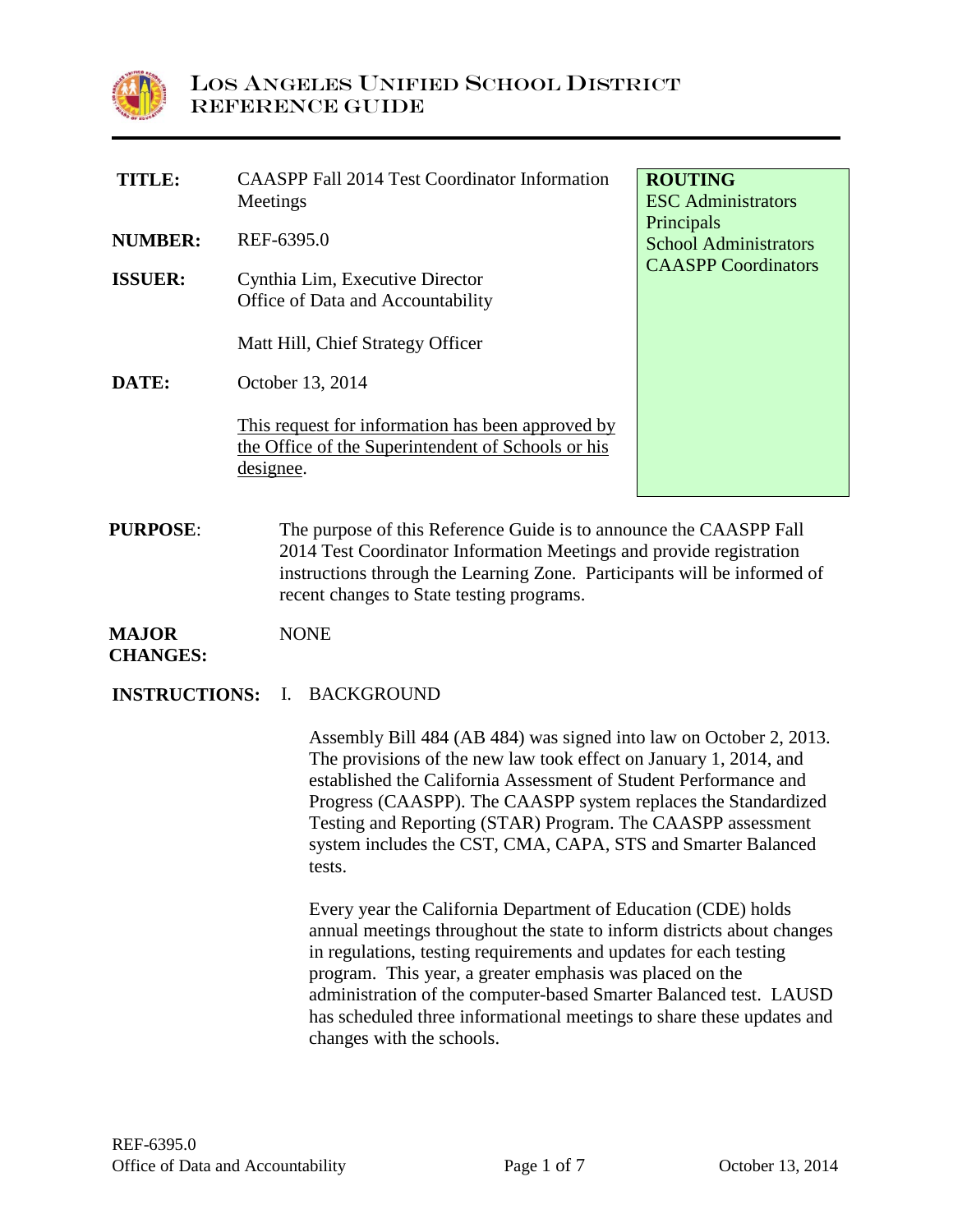

| TITLE:                           | <b>CAASPP Fall 2014 Test Coordinator Information</b><br>Meetings                                                                                                                                                                                                                                             | <b>ROUTING</b><br><b>ESC</b> Administrators                              |
|----------------------------------|--------------------------------------------------------------------------------------------------------------------------------------------------------------------------------------------------------------------------------------------------------------------------------------------------------------|--------------------------------------------------------------------------|
| <b>NUMBER:</b><br><b>ISSUER:</b> | REF-6395.0<br>Cynthia Lim, Executive Director                                                                                                                                                                                                                                                                | Principals<br><b>School Administrators</b><br><b>CAASPP</b> Coordinators |
|                                  | Office of Data and Accountability<br>Matt Hill, Chief Strategy Officer                                                                                                                                                                                                                                       |                                                                          |
| <b>DATE:</b>                     | October 13, 2014<br>This request for information has been approved by<br>the Office of the Superintendent of Schools or his<br>designee.                                                                                                                                                                     |                                                                          |
| <b>DIIDDACH</b>                  | $\mathbf{T}^{1}$ , $\ldots$ $\ldots$ $\mathbf{f}$ and $\mathbf{f}$ , $\mathbf{f}$ and $\mathbf{f}$ and $\mathbf{f}$ and $\mathbf{f}$ and $\mathbf{f}$ and $\mathbf{f}$ and $\mathbf{f}$ and $\mathbf{f}$ and $\mathbf{f}$ and $\mathbf{f}$ and $\mathbf{f}$ and $\mathbf{f}$ and $\mathbf{f}$ and $\mathbf{$ |                                                                          |

**PURPOSE:** The purpose of this Reference Guide is to announce the CAASPP Fall 2014 Test Coordinator Information Meetings and provide registration instructions through the Learning Zone. Participants will be informed of recent changes to State testing programs.

#### **MAJOR CHANGES:** NONE

**INSTRUCTIONS:** I. BACKGROUND

Assembly Bill 484 (AB 484) was signed into law on October 2, 2013. The provisions of the new law took effect on January 1, 2014, and established the California Assessment of Student Performance and Progress (CAASPP). The CAASPP system replaces the Standardized Testing and Reporting (STAR) Program. The CAASPP assessment system includes the CST, CMA, CAPA, STS and Smarter Balanced tests.

Every year the California Department of Education (CDE) holds annual meetings throughout the state to inform districts about changes in regulations, testing requirements and updates for each testing program. This year, a greater emphasis was placed on the administration of the computer-based Smarter Balanced test. LAUSD has scheduled three informational meetings to share these updates and changes with the schools.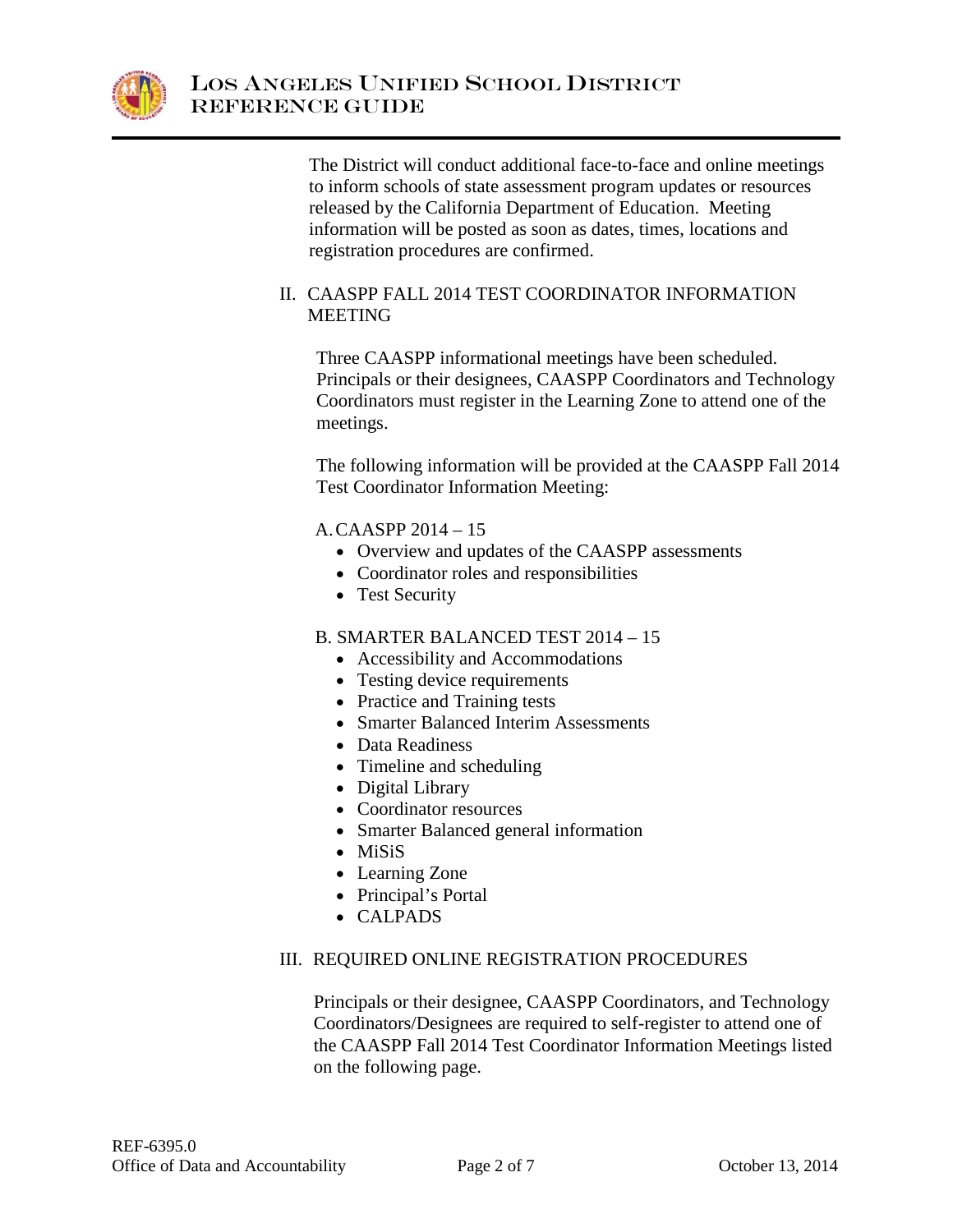

The District will conduct additional face-to-face and online meetings to inform schools of state assessment program updates or resources released by the California Department of Education. Meeting information will be posted as soon as dates, times, locations and registration procedures are confirmed.

# II. CAASPP FALL 2014 TEST COORDINATOR INFORMATION MEETING

Three CAASPP informational meetings have been scheduled. Principals or their designees, CAASPP Coordinators and Technology Coordinators must register in the Learning Zone to attend one of the meetings.

The following information will be provided at the CAASPP Fall 2014 Test Coordinator Information Meeting:

A.CAASPP 2014 – 15

- Overview and updates of the CAASPP assessments
- Coordinator roles and responsibilities
- Test Security

## B. SMARTER BALANCED TEST 2014 – 15

- Accessibility and Accommodations
- Testing device requirements
- Practice and Training tests
- Smarter Balanced Interim Assessments
- Data Readiness
- Timeline and scheduling
- Digital Library
- Coordinator resources
- Smarter Balanced general information
- MiSiS
- Learning Zone
- Principal's Portal
- CALPADS

## III. REQUIRED ONLINE REGISTRATION PROCEDURES

Principals or their designee, CAASPP Coordinators, and Technology Coordinators/Designees are required to self-register to attend one of the CAASPP Fall 2014 Test Coordinator Information Meetings listed on the following page.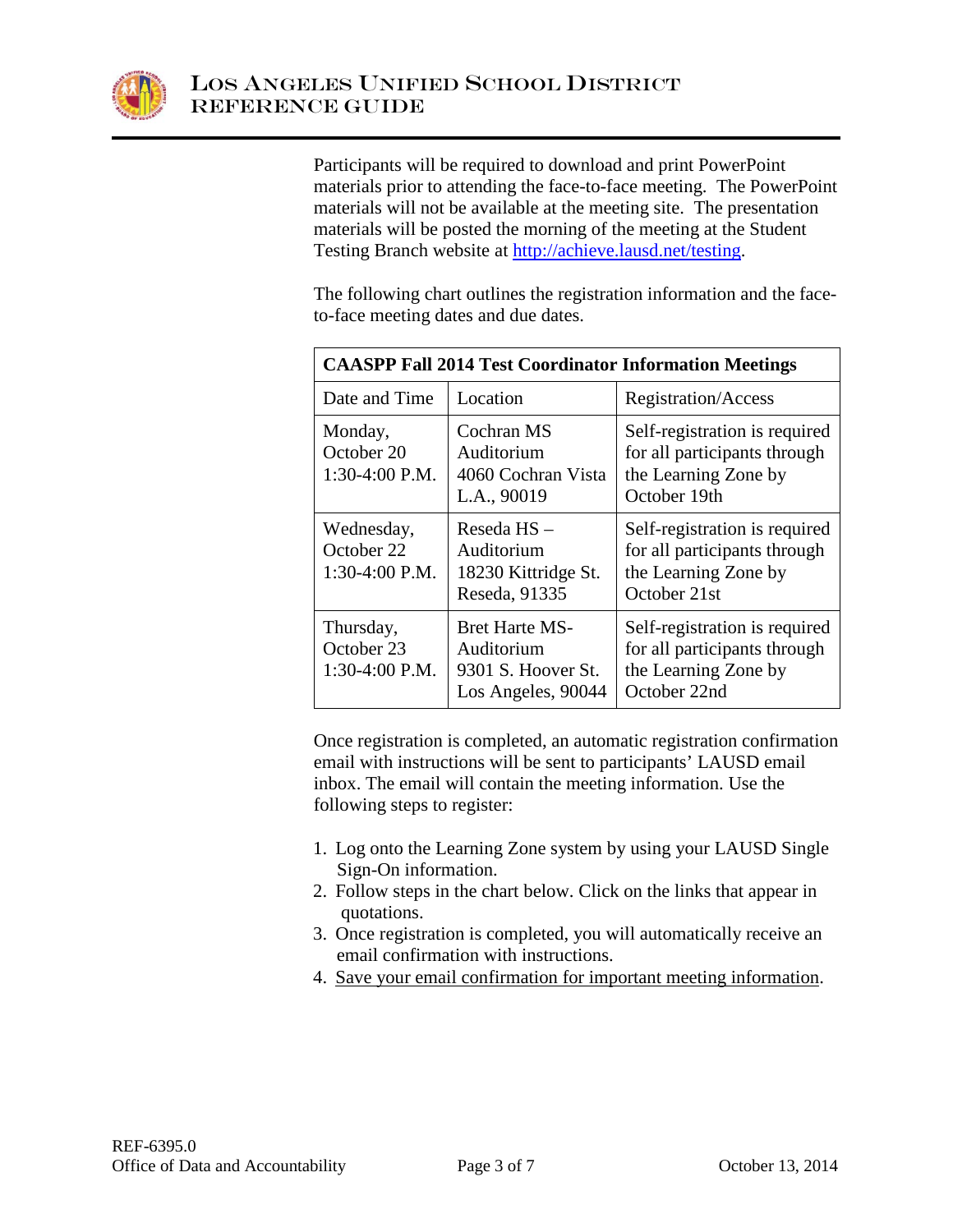

Participants will be required to download and print PowerPoint materials prior to attending the face-to-face meeting. The PowerPoint materials will not be available at the meeting site. The presentation materials will be posted the morning of the meeting at the Student Testing Branch website at [http://achieve.lausd.net/testing.](http://achieve.lausd.net/testing)

The following chart outlines the registration information and the faceto-face meeting dates and due dates.

| <b>CAASPP Fall 2014 Test Coordinator Information Meetings</b> |                                                                                 |                                                                                                       |  |
|---------------------------------------------------------------|---------------------------------------------------------------------------------|-------------------------------------------------------------------------------------------------------|--|
| Date and Time                                                 | Location                                                                        | Registration/Access                                                                                   |  |
| Monday,<br>October 20<br>$1:30-4:00$ P.M.                     | Cochran MS<br>Auditorium<br>4060 Cochran Vista<br>L.A., 90019                   | Self-registration is required<br>for all participants through<br>the Learning Zone by<br>October 19th |  |
| Wednesday,<br>October 22<br>1:30-4:00 P.M.                    | Reseda HS-<br>Auditorium<br>18230 Kittridge St.<br>Reseda, 91335                | Self-registration is required<br>for all participants through<br>the Learning Zone by<br>October 21st |  |
| Thursday,<br>October 23<br>1:30-4:00 P.M.                     | <b>Bret Harte MS-</b><br>Auditorium<br>9301 S. Hoover St.<br>Los Angeles, 90044 | Self-registration is required<br>for all participants through<br>the Learning Zone by<br>October 22nd |  |

Once registration is completed, an automatic registration confirmation email with instructions will be sent to participants' LAUSD email inbox. The email will contain the meeting information. Use the following steps to register:

- 1. Log onto the Learning Zone system by using your LAUSD Single Sign-On information.
- 2. Follow steps in the chart below. Click on the links that appear in quotations.
- 3. Once registration is completed, you will automatically receive an email confirmation with instructions.
- 4. Save your email confirmation for important meeting information.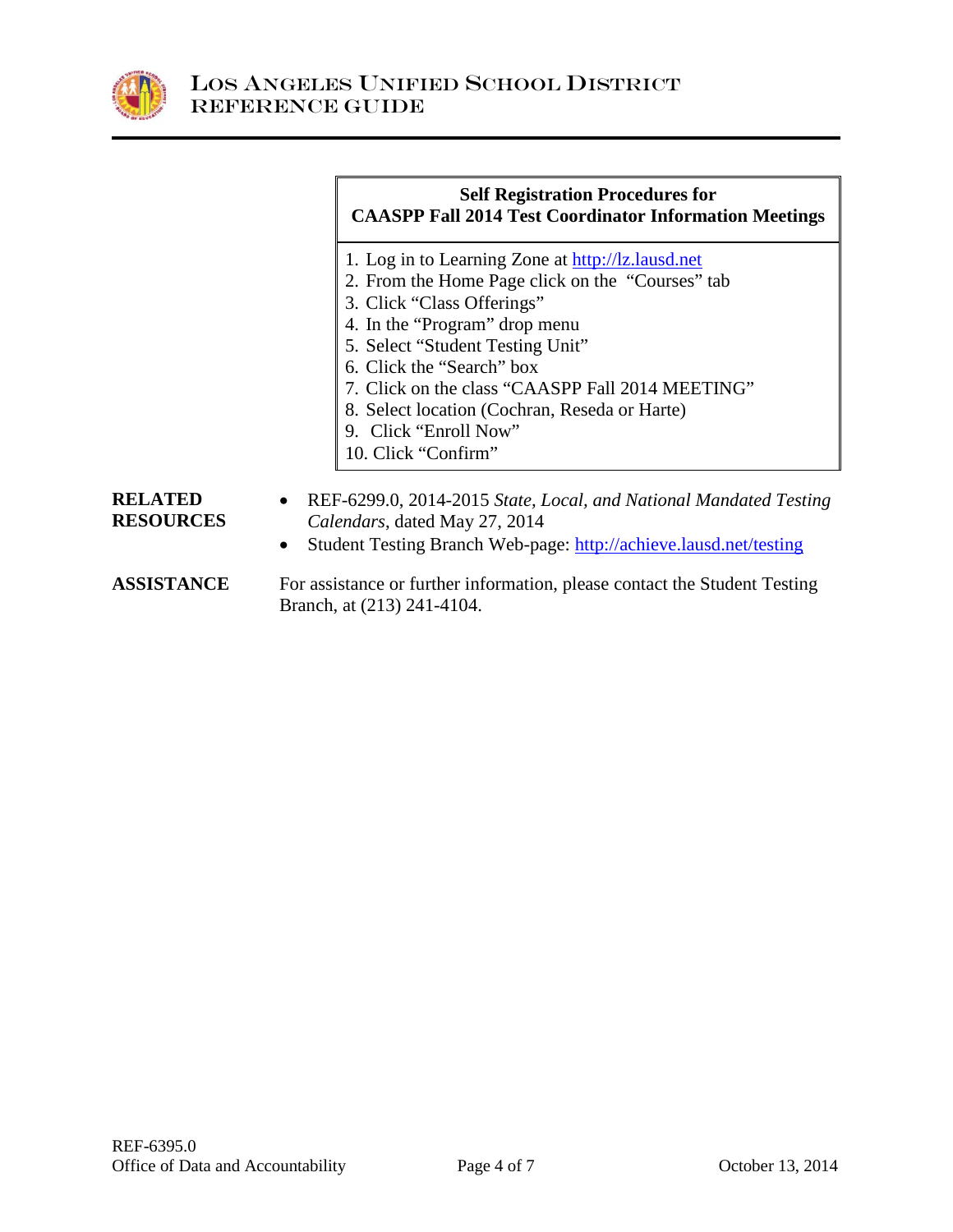

# **Self Registration Procedures for CAASPP Fall 2014 Test Coordinator Information Meetings**

- 1. Log in to Learning Zone at [http://lz.lausd.net](http://lz.lausd.net/)
- 2. From the Home Page click on the "Courses" tab
- 3. Click "Class Offerings"
- 4. In the "Program" drop menu
- 5. Select "Student Testing Unit"
- 6. Click the "Search" box
- 7. Click on the class "CAASPP Fall 2014 MEETING"
- 8. Select location (Cochran, Reseda or Harte)
- 9. Click "Enroll Now"
- 10. Click "Confirm"

#### **RELATED RESOURCES** • REF-6299.0, 2014-2015 *State, Local, and National Mandated Testing Calendars*, dated May 27, 2014

- Student Testing Branch Web-page:<http://achieve.lausd.net/testing>
- **ASSISTANCE** For assistance or further information, please contact the Student Testing Branch, at (213) 241-4104.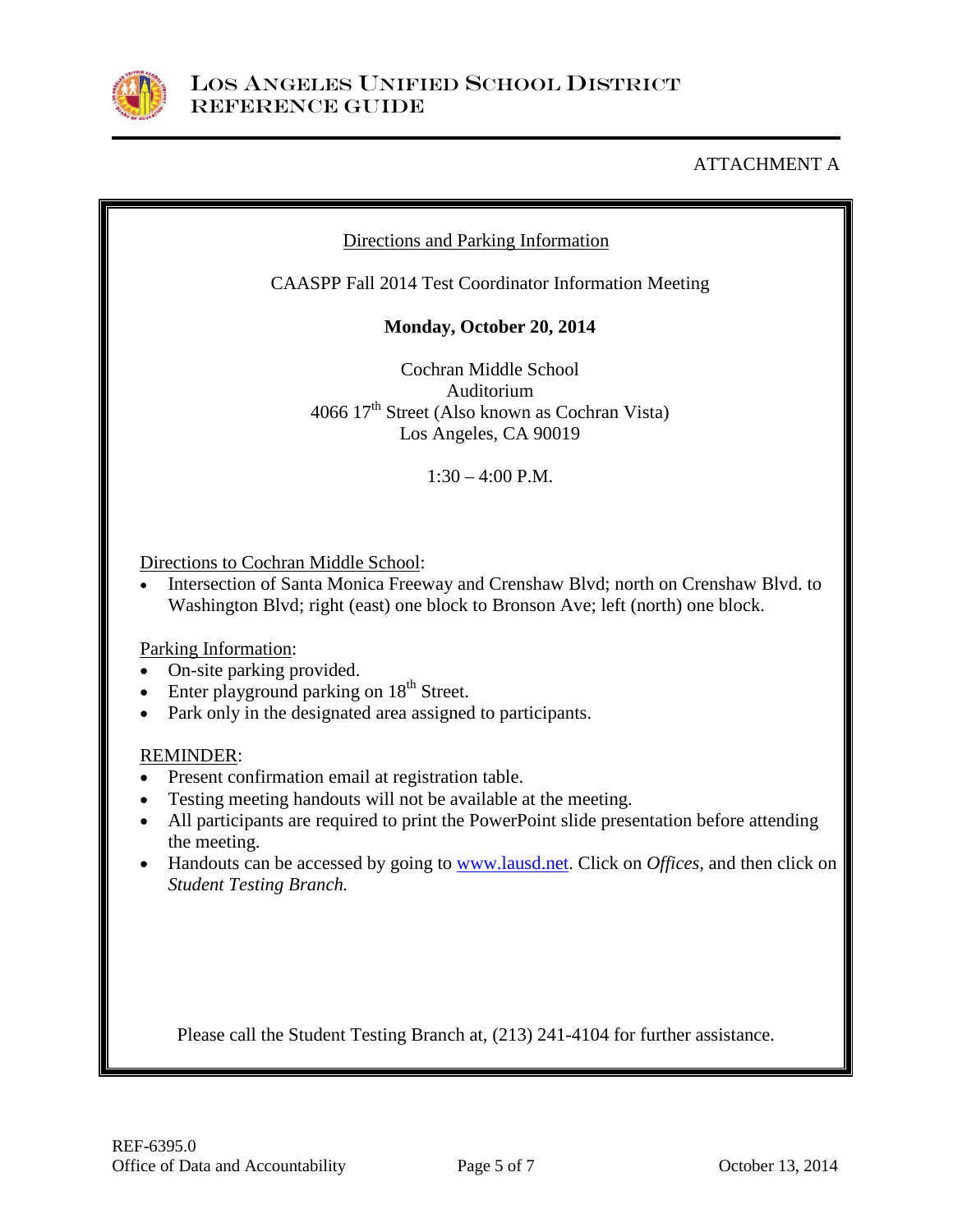

# ATTACHMENT A

# Directions and Parking Information

CAASPP Fall 2014 Test Coordinator Information Meeting

**Monday, October 20, 2014**

Cochran Middle School Auditorium 4066 17th Street (Also known as Cochran Vista) Los Angeles, CA 90019

 $1:30 - 4:00$  P.M.

Directions to Cochran Middle School:

• Intersection of Santa Monica Freeway and Crenshaw Blvd; north on Crenshaw Blvd. to Washington Blvd; right (east) one block to Bronson Ave; left (north) one block.

Parking Information:

- On-site parking provided.
- Enter playground parking on  $18<sup>th</sup>$  Street.
- Park only in the designated area assigned to participants.

#### REMINDER:

- Present confirmation email at registration table.
- Testing meeting handouts will not be available at the meeting.
- All participants are required to print the PowerPoint slide presentation before attending the meeting.
- Handouts can be accessed by going to [www.lausd.net.](http://www.lausd.net/) Click on *Offices*, and then click on *Student Testing Branch.*

Please call the Student Testing Branch at, (213) 241-4104 for further assistance.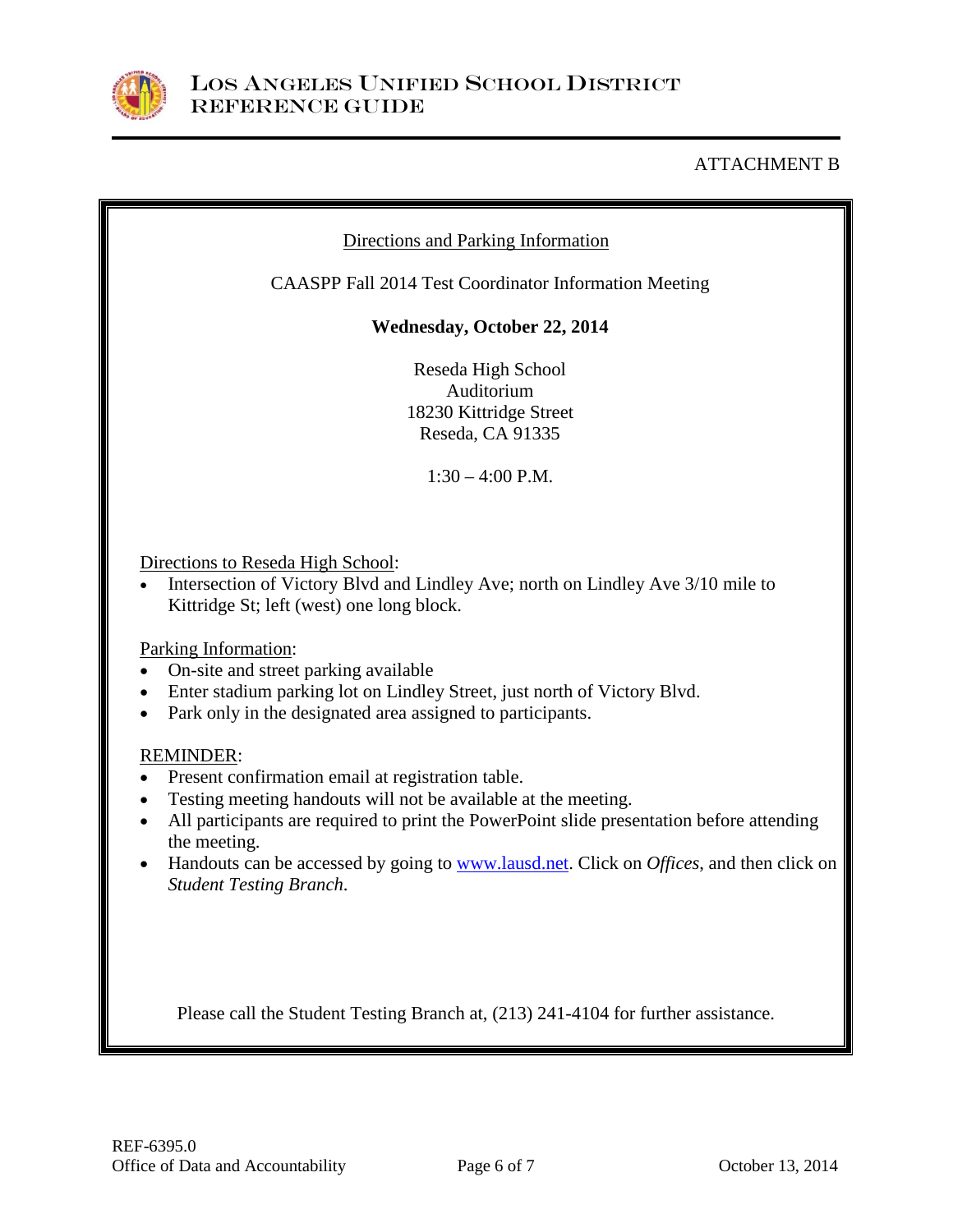

# ATTACHMENT B

# Directions and Parking Information

CAASPP Fall 2014 Test Coordinator Information Meeting

## **Wednesday, October 22, 2014**

Reseda High School Auditorium 18230 Kittridge Street Reseda, CA 91335

 $1:30 - 4:00$  P.M.

Directions to Reseda High School:

• Intersection of Victory Blvd and Lindley Ave; north on Lindley Ave 3/10 mile to Kittridge St; left (west) one long block.

Parking Information:

- On-site and street parking available
- Enter stadium parking lot on Lindley Street, just north of Victory Blvd.
- Park only in the designated area assigned to participants.

#### REMINDER:

- Present confirmation email at registration table.
- Testing meeting handouts will not be available at the meeting.
- All participants are required to print the PowerPoint slide presentation before attending the meeting.
- Handouts can be accessed by going to [www.lausd.net.](http://www.lausd.net/) Click on *Offices*, and then click on *Student Testing Branch*.

Please call the Student Testing Branch at, (213) 241-4104 for further assistance.